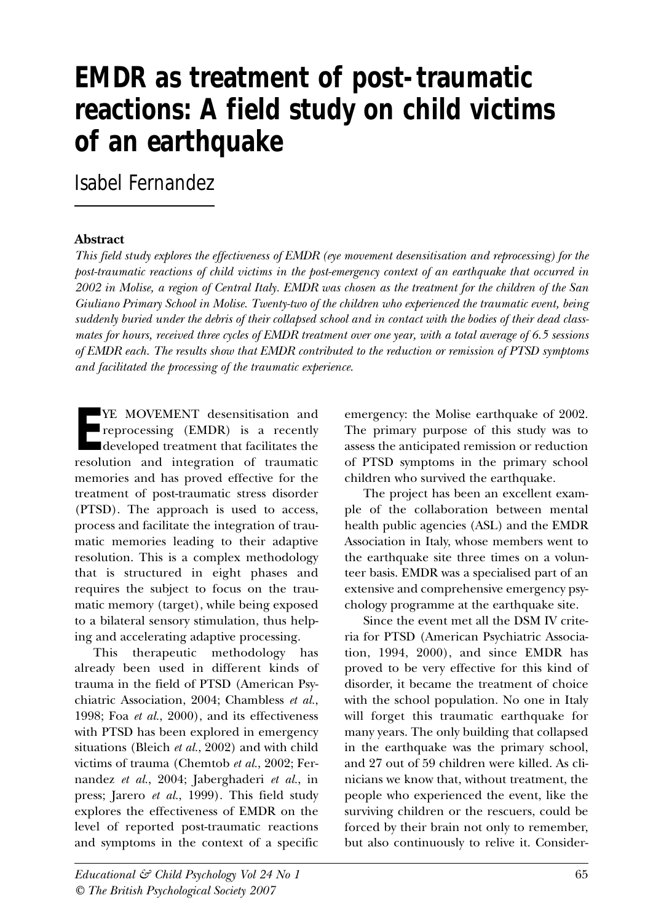# **EMDR as treatment of post-traumatic reactions: A field study on child victims of an earthquake**

Isabel Fernandez

#### **Abstract**

*This field study explores the effectiveness of EMDR (eye movement desensitisation and reprocessing) for the post-traumatic reactions of child victims in the post-emergency context of an earthquake that occurred in 2002 in Molise, a region of Central Italy. EMDR was chosen as the treatment for the children of the San Giuliano Primary School in Molise. Twenty-two of the children who experienced the traumatic event, being suddenly buried under the debris of their collapsed school and in contact with the bodies of their dead classmates for hours, received three cycles of EMDR treatment over one year, with a total average of 6.5 sessions of EMDR each. The results show that EMDR contributed to the reduction or remission of PTSD symptoms and facilitated the processing of the traumatic experience.* 

**E** YE MOVEMENT desensitisation and reprocessing (EMDR) is a recently developed treatment that facilitates the resolution and integration of traumatic memories and has proved effective for the treatment of post-traumatic stress disorder (PTSD). The approach is used to access, process and facilitate the integration of traumatic memories leading to their adaptive resolution. This is a complex methodology that is structured in eight phases and requires the subject to focus on the traumatic memory (target), while being exposed to a bilateral sensory stimulation, thus helping and accelerating adaptive processing.

This therapeutic methodology has already been used in different kinds of trauma in the field of PTSD (American Psychiatric Association, 2004; Chambless *et al.*, 1998; Foa *et al.*, 2000), and its effectiveness with PTSD has been explored in emergency situations (Bleich *et al.*, 2002) and with child victims of trauma (Chemtob *et al.*, 2002; Fernandez *et al.*, 2004; Jaberghaderi *et al.*, in press; Jarero *et al.*, 1999). This field study explores the effectiveness of EMDR on the level of reported post-traumatic reactions and symptoms in the context of a specific emergency: the Molise earthquake of 2002. The primary purpose of this study was to assess the anticipated remission or reduction of PTSD symptoms in the primary school children who survived the earthquake.

The project has been an excellent example of the collaboration between mental health public agencies (ASL) and the EMDR Association in Italy, whose members went to the earthquake site three times on a volunteer basis. EMDR was a specialised part of an extensive and comprehensive emergency psychology programme at the earthquake site.

Since the event met all the DSM IV criteria for PTSD (American Psychiatric Association, 1994, 2000), and since EMDR has proved to be very effective for this kind of disorder, it became the treatment of choice with the school population. No one in Italy will forget this traumatic earthquake for many years. The only building that collapsed in the earthquake was the primary school, and 27 out of 59 children were killed. As clinicians we know that, without treatment, the people who experienced the event, like the surviving children or the rescuers, could be forced by their brain not only to remember, but also continuously to relive it. Consider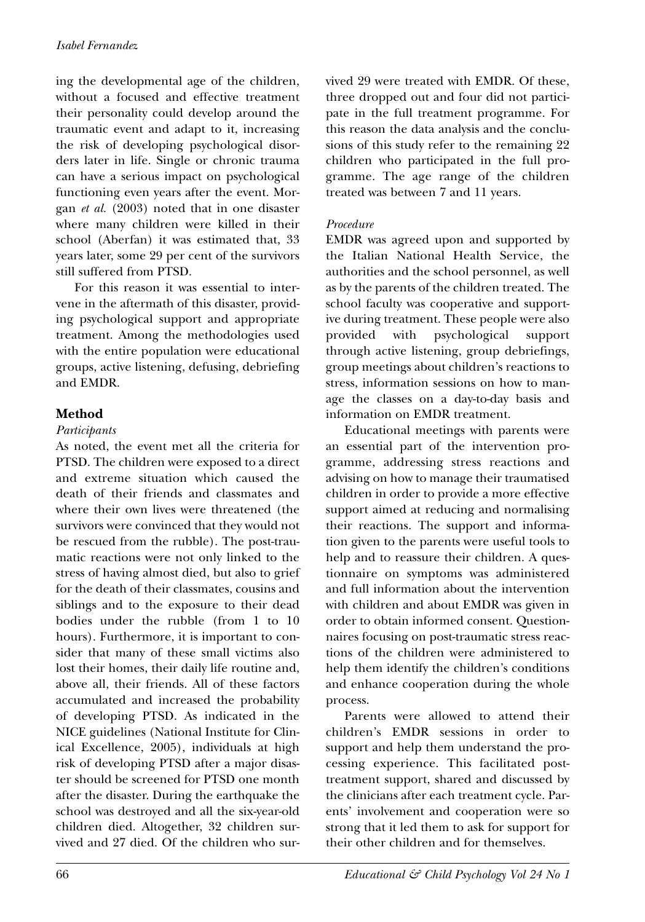ing the developmental age of the children, without a focused and effective treatment their personality could develop around the traumatic event and adapt to it, increasing the risk of developing psychological disorders later in life. Single or chronic trauma can have a serious impact on psychological functioning even years after the event. Morgan *et al.* (2003) noted that in one disaster where many children were killed in their school (Aberfan) it was estimated that, 33 years later, some 29 per cent of the survivors still suffered from PTSD.

For this reason it was essential to intervene in the aftermath of this disaster, providing psychological support and appropriate treatment. Among the methodologies used with the entire population were educational groups, active listening, defusing, debriefing and EMDR.

## **Method**

#### *Participants*

As noted, the event met all the criteria for PTSD. The children were exposed to a direct and extreme situation which caused the death of their friends and classmates and where their own lives were threatened (the survivors were convinced that they would not be rescued from the rubble). The post-traumatic reactions were not only linked to the stress of having almost died, but also to grief for the death of their classmates, cousins and siblings and to the exposure to their dead bodies under the rubble (from 1 to 10 hours). Furthermore, it is important to consider that many of these small victims also lost their homes, their daily life routine and, above all, their friends. All of these factors accumulated and increased the probability of developing PTSD. As indicated in the NICE guidelines (National Institute for Clinical Excellence, 2005), individuals at high risk of developing PTSD after a major disaster should be screened for PTSD one month after the disaster. During the earthquake the school was destroyed and all the six-year-old children died. Altogether, 32 children survived and 27 died. Of the children who survived 29 were treated with EMDR. Of these, three dropped out and four did not participate in the full treatment programme. For this reason the data analysis and the conclusions of this study refer to the remaining 22 children who participated in the full programme. The age range of the children treated was between 7 and 11 years.

#### *Procedure*

EMDR was agreed upon and supported by the Italian National Health Service, the authorities and the school personnel, as well as by the parents of the children treated. The school faculty was cooperative and supportive during treatment. These people were also provided with psychological support through active listening, group debriefings, group meetings about children's reactions to stress, information sessions on how to manage the classes on a day-to-day basis and information on EMDR treatment.

Educational meetings with parents were an essential part of the intervention programme, addressing stress reactions and advising on how to manage their traumatised children in order to provide a more effective support aimed at reducing and normalising their reactions. The support and information given to the parents were useful tools to help and to reassure their children. A questionnaire on symptoms was administered and full information about the intervention with children and about EMDR was given in order to obtain informed consent. Questionnaires focusing on post-traumatic stress reactions of the children were administered to help them identify the children's conditions and enhance cooperation during the whole process.

Parents were allowed to attend their children's EMDR sessions in order to support and help them understand the processing experience. This facilitated posttreatment support, shared and discussed by the clinicians after each treatment cycle. Parents' involvement and cooperation were so strong that it led them to ask for support for their other children and for themselves.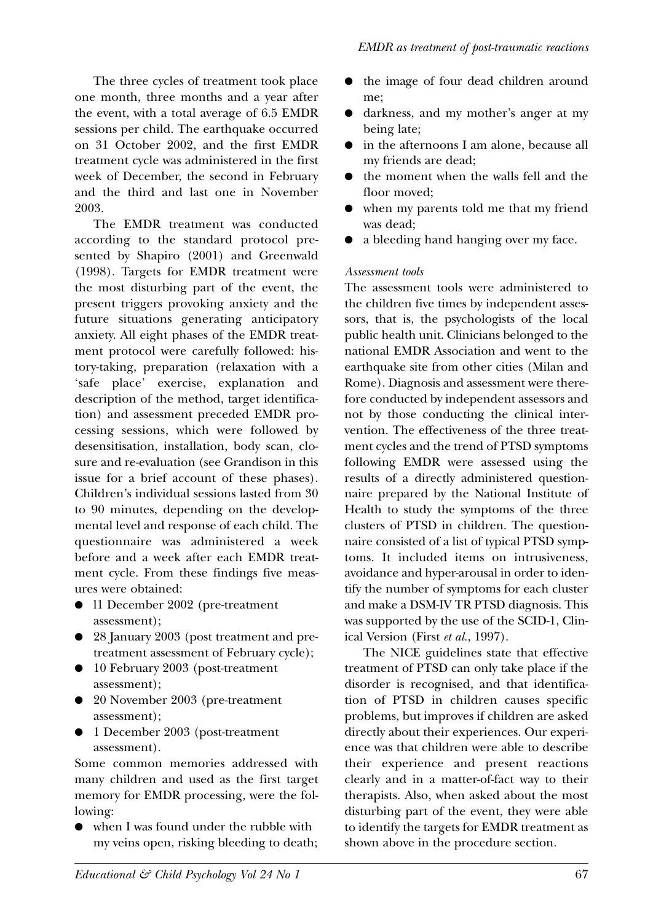The three cycles of treatment took place one month, three months and a year after the event, with a total average of 6.5 EMDR sessions per child. The earthquake occurred on 31 October 2002, and the first EMDR treatment cycle was administered in the first week of December, the second in February and the third and last one in November 2003.

The EMDR treatment was conducted according to the standard protocol presented by Shapiro (2001) and Greenwald (1998). Targets for EMDR treatment were the most disturbing part of the event, the present triggers provoking anxiety and the future situations generating anticipatory anxiety. All eight phases of the EMDR treatment protocol were carefully followed: history-taking, preparation (relaxation with a 'safe place' exercise, explanation and description of the method, target identification) and assessment preceded EMDR processing sessions, which were followed by desensitisation, installation, body scan, closure and re-evaluation (see Grandison in this issue for a brief account of these phases). Children's individual sessions lasted from 30 to 90 minutes, depending on the developmental level and response of each child. The questionnaire was administered a week before and a week after each EMDR treatment cycle. From these findings five measures were obtained:

- l1 December 2002 (pre-treatment assessment);
- 28 January 2003 (post treatment and pretreatment assessment of February cycle);
- 10 February 2003 (post-treatment assessment);
- 20 November 2003 (pre-treatment assessment);
- 1 December 2003 (post-treatment assessment).

Some common memories addressed with many children and used as the first target memory for EMDR processing, were the following:

● when I was found under the rubble with my veins open, risking bleeding to death;

- the image of four dead children around me;
- darkness, and my mother's anger at my being late;
- in the afternoons I am alone, because all my friends are dead;
- the moment when the walls fell and the floor moved;
- when my parents told me that my friend was dead;
- a bleeding hand hanging over my face.

#### *Assessment tools*

The assessment tools were administered to the children five times by independent assessors, that is, the psychologists of the local public health unit. Clinicians belonged to the national EMDR Association and went to the earthquake site from other cities (Milan and Rome). Diagnosis and assessment were therefore conducted by independent assessors and not by those conducting the clinical intervention. The effectiveness of the three treatment cycles and the trend of PTSD symptoms following EMDR were assessed using the results of a directly administered questionnaire prepared by the National Institute of Health to study the symptoms of the three clusters of PTSD in children. The questionnaire consisted of a list of typical PTSD symptoms. It included items on intrusiveness, avoidance and hyper-arousal in order to identify the number of symptoms for each cluster and make a DSM-IV TR PTSD diagnosis. This was supported by the use of the SCID-1, Clinical Version (First *et al.*, 1997).

The NICE guidelines state that effective treatment of PTSD can only take place if the disorder is recognised, and that identification of PTSD in children causes specific problems, but improves if children are asked directly about their experiences. Our experience was that children were able to describe their experience and present reactions clearly and in a matter-of-fact way to their therapists. Also, when asked about the most disturbing part of the event, they were able to identify the targets for EMDR treatment as shown above in the procedure section.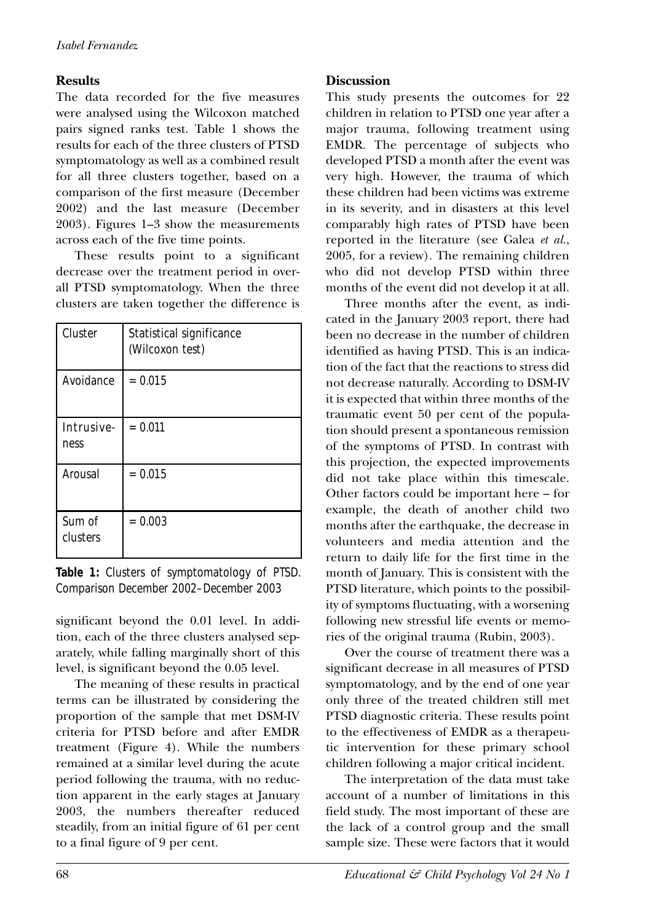### **Results**

The data recorded for the five measures were analysed using the Wilcoxon matched pairs signed ranks test. Table 1 shows the results for each of the three clusters of PTSD symptomatology as well as a combined result for all three clusters together, based on a comparison of the first measure (December 2002) and the last measure (December 2003). Figures 1–3 show the measurements across each of the five time points.

These results point to a significant decrease over the treatment period in overall PTSD symptomatology. When the three clusters are taken together the difference is

| Cluster            | Statistical significance<br>(Wilcoxon test) |
|--------------------|---------------------------------------------|
| Avoidance          | $= 0.015$                                   |
| Intrusive-<br>ness | $= 0.011$                                   |
| Arousal            | $= 0.015$                                   |
| Sum of<br>clusters | $= 0.003$                                   |

**Table 1:** Clusters of symptomatology of PTSD. Comparison December 2002–December 2003

significant beyond the 0.01 level. In addition, each of the three clusters analysed separately, while falling marginally short of this level, is significant beyond the 0.05 level.

The meaning of these results in practical terms can be illustrated by considering the proportion of the sample that met DSM-IV criteria for PTSD before and after EMDR treatment (Figure 4). While the numbers remained at a similar level during the acute period following the trauma, with no reduction apparent in the early stages at January 2003, the numbers thereafter reduced steadily, from an initial figure of 61 per cent to a final figure of 9 per cent.

#### **Discussion**

This study presents the outcomes for 22 children in relation to PTSD one year after a major trauma, following treatment using EMDR. The percentage of subjects who developed PTSD a month after the event was very high. However, the trauma of which these children had been victims was extreme in its severity, and in disasters at this level comparably high rates of PTSD have been reported in the literature (see Galea *et al.*, 2005, for a review). The remaining children who did not develop PTSD within three months of the event did not develop it at all.

Three months after the event, as indicated in the January 2003 report, there had been no decrease in the number of children identified as having PTSD. This is an indication of the fact that the reactions to stress did not decrease naturally. According to DSM-IV it is expected that within three months of the traumatic event 50 per cent of the population should present a spontaneous remission of the symptoms of PTSD. In contrast with this projection, the expected improvements did not take place within this timescale. Other factors could be important here – for example, the death of another child two months after the earthquake, the decrease in volunteers and media attention and the return to daily life for the first time in the month of January. This is consistent with the PTSD literature, which points to the possibility of symptoms fluctuating, with a worsening following new stressful life events or memories of the original trauma (Rubin, 2003).

Over the course of treatment there was a significant decrease in all measures of PTSD symptomatology, and by the end of one year only three of the treated children still met PTSD diagnostic criteria. These results point to the effectiveness of EMDR as a therapeutic intervention for these primary school children following a major critical incident.

The interpretation of the data must take account of a number of limitations in this field study. The most important of these are the lack of a control group and the small sample size. These were factors that it would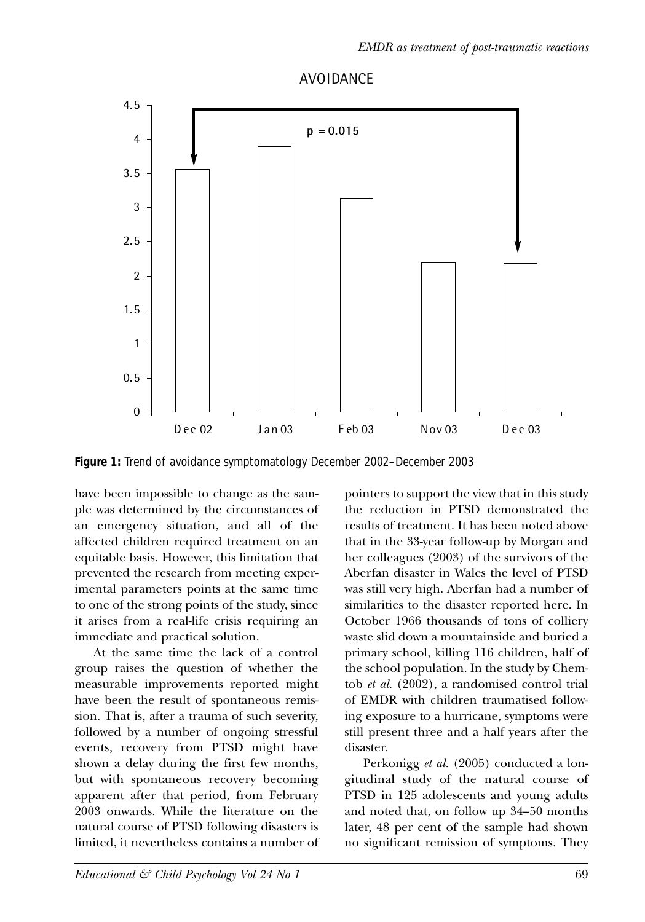

# **AVOIDANCE**

**Figure 1:** Trend of avoidance symptomatology December 2002–December 2003

have been impossible to change as the sample was determined by the circumstances of an emergency situation, and all of the affected children required treatment on an equitable basis. However, this limitation that prevented the research from meeting experimental parameters points at the same time to one of the strong points of the study, since it arises from a real-life crisis requiring an immediate and practical solution.

At the same time the lack of a control group raises the question of whether the measurable improvements reported might have been the result of spontaneous remission. That is, after a trauma of such severity, followed by a number of ongoing stressful events, recovery from PTSD might have shown a delay during the first few months, but with spontaneous recovery becoming apparent after that period, from February 2003 onwards. While the literature on the natural course of PTSD following disasters is limited, it nevertheless contains a number of pointers to support the view that in this study the reduction in PTSD demonstrated the results of treatment. It has been noted above that in the 33-year follow-up by Morgan and her colleagues (2003) of the survivors of the Aberfan disaster in Wales the level of PTSD was still very high. Aberfan had a number of similarities to the disaster reported here. In October 1966 thousands of tons of colliery waste slid down a mountainside and buried a primary school, killing 116 children, half of the school population. In the study by Chemtob *et al.* (2002), a randomised control trial of EMDR with children traumatised following exposure to a hurricane, symptoms were still present three and a half years after the disaster.

Perkonigg *et al.* (2005) conducted a longitudinal study of the natural course of PTSD in 125 adolescents and young adults and noted that, on follow up 34–50 months later, 48 per cent of the sample had shown no significant remission of symptoms. They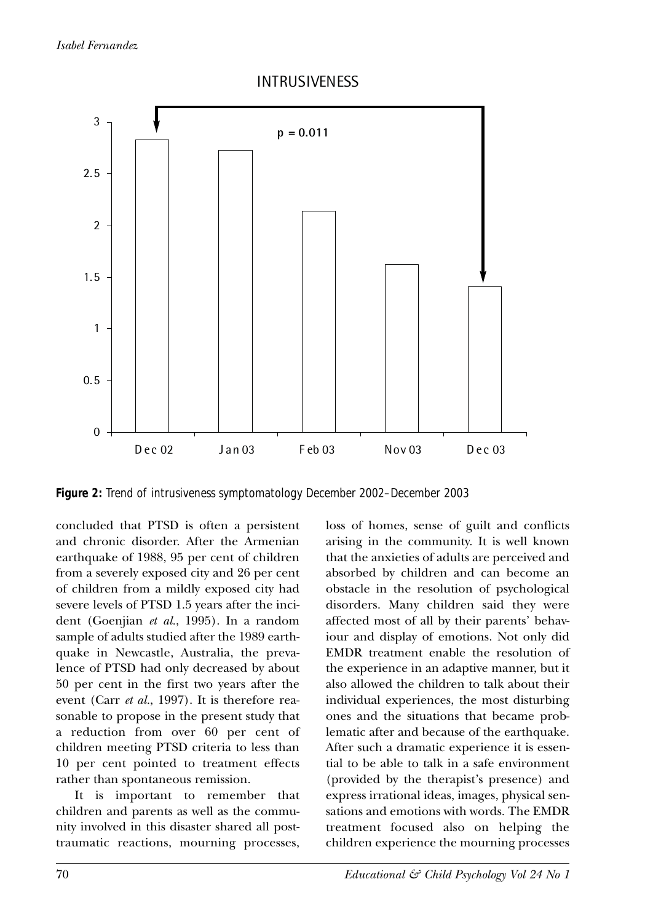

Figure 2: Trend of intrusiveness symptomatology December 2002–December 2003

concluded that PTSD is often a persistent and chronic disorder. After the Armenian earthquake of 1988, 95 per cent of children from a severely exposed city and 26 per cent of children from a mildly exposed city had severe levels of PTSD 1.5 years after the incident (Goenjian *et al.*, 1995). In a random sample of adults studied after the 1989 earthquake in Newcastle, Australia, the prevalence of PTSD had only decreased by about 50 per cent in the first two years after the event (Carr *et al.*, 1997). It is therefore reasonable to propose in the present study that a reduction from over 60 per cent of children meeting PTSD criteria to less than 10 per cent pointed to treatment effects rather than spontaneous remission.

It is important to remember that children and parents as well as the community involved in this disaster shared all posttraumatic reactions, mourning processes, loss of homes, sense of guilt and conflicts arising in the community. It is well known that the anxieties of adults are perceived and absorbed by children and can become an obstacle in the resolution of psychological disorders. Many children said they were affected most of all by their parents' behaviour and display of emotions. Not only did EMDR treatment enable the resolution of the experience in an adaptive manner, but it also allowed the children to talk about their individual experiences, the most disturbing ones and the situations that became problematic after and because of the earthquake. After such a dramatic experience it is essential to be able to talk in a safe environment (provided by the therapist's presence) and express irrational ideas, images, physical sensations and emotions with words. The EMDR treatment focused also on helping the children experience the mourning processes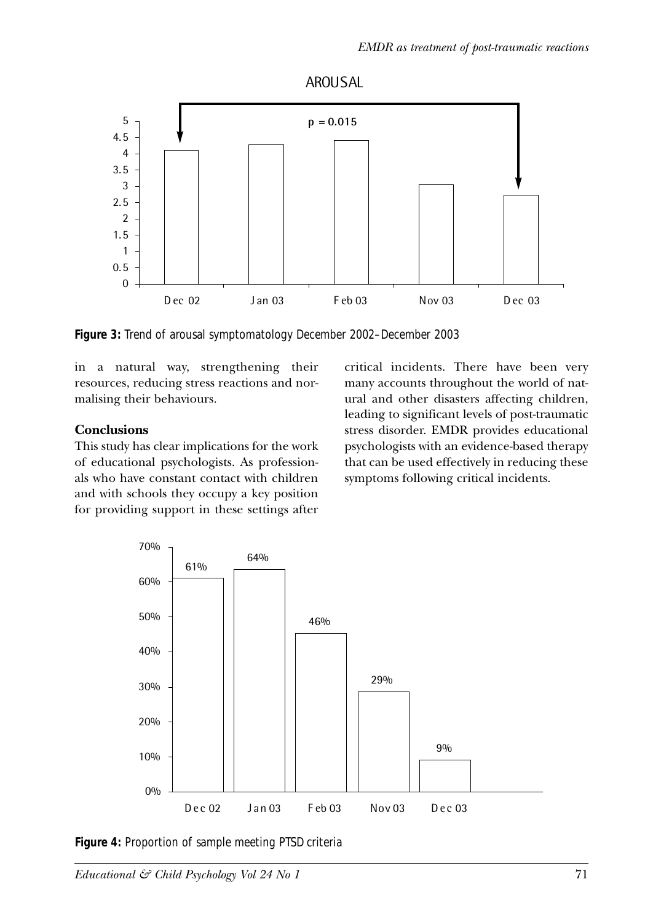

**AROUSAL** 

**Figure 3:** Trend of arousal symptomatology December 2002–December 2003

in a natural way, strengthening their resources, reducing stress reactions and normalising their behaviours.

#### **Conclusions**

This study has clear implications for the work of educational psychologists. As professionals who have constant contact with children and with schools they occupy a key position for providing support in these settings after critical incidents. There have been very many accounts throughout the world of natural and other disasters affecting children, leading to significant levels of post-traumatic stress disorder. EMDR provides educational psychologists with an evidence-based therapy that can be used effectively in reducing these symptoms following critical incidents.



**Figure 4:** Proportion of sample meeting PTSD criteria